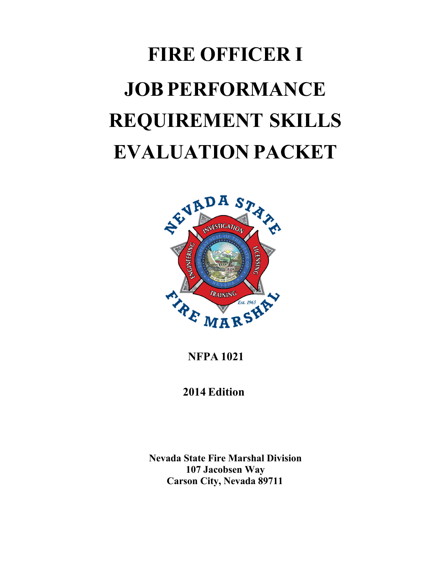# **FIRE OFFICER I JOB PERFORMANCE REQUIREMENT SKILLS EVALUATION PACKET**



**NFPA 1021**

 **2014 Edition**

**Nevada State Fire Marshal Division 107 Jacobsen Way Carson City, Nevada 89711**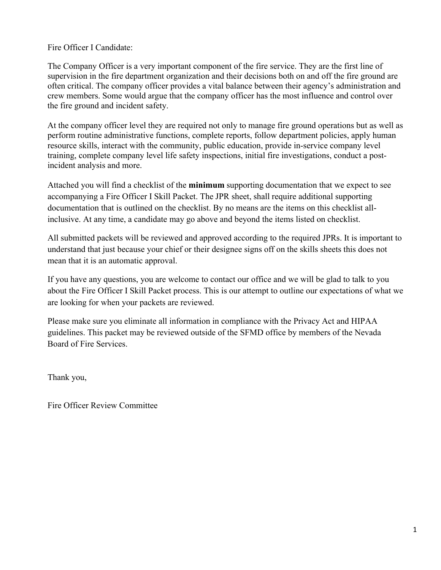#### Fire Officer I Candidate:

The Company Officer is a very important component of the fire service. They are the first line of supervision in the fire department organization and their decisions both on and off the fire ground are often critical. The company officer provides a vital balance between their agency's administration and crew members. Some would argue that the company officer has the most influence and control over the fire ground and incident safety.

At the company officer level they are required not only to manage fire ground operations but as well as perform routine administrative functions, complete reports, follow department policies, apply human resource skills, interact with the community, public education, provide in-service company level training, complete company level life safety inspections, initial fire investigations, conduct a postincident analysis and more.

Attached you will find a checklist of the **minimum** supporting documentation that we expect to see accompanying a Fire Officer I Skill Packet. The JPR sheet, shall require additional supporting documentation that is outlined on the checklist. By no means are the items on this checklist allinclusive. At any time, a candidate may go above and beyond the items listed on checklist.

All submitted packets will be reviewed and approved according to the required JPRs. It is important to understand that just because your chief or their designee signs off on the skills sheets this does not mean that it is an automatic approval.

If you have any questions, you are welcome to contact our office and we will be glad to talk to you about the Fire Officer I Skill Packet process. This is our attempt to outline our expectations of what we are looking for when your packets are reviewed.

Please make sure you eliminate all information in compliance with the Privacy Act and HIPAA guidelines. This packet may be reviewed outside of the SFMD office by members of the Nevada Board of Fire Services.

Thank you,

Fire Officer Review Committee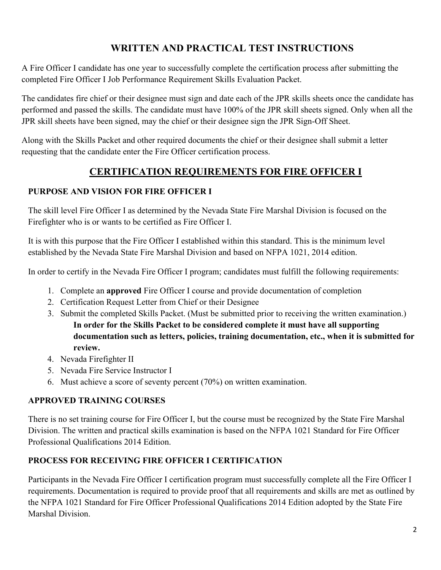## **WRITTEN AND PRACTICAL TEST INSTRUCTIONS**

A Fire Officer I candidate has one year to successfully complete the certification process after submitting the completed Fire Officer I Job Performance Requirement Skills Evaluation Packet.

The candidates fire chief or their designee must sign and date each of the JPR skills sheets once the candidate has performed and passed the skills. The candidate must have 100% of the JPR skill sheets signed. Only when all the JPR skill sheets have been signed, may the chief or their designee sign the JPR Sign-Off Sheet.

Along with the Skills Packet and other required documents the chief or their designee shall submit a letter requesting that the candidate enter the Fire Officer certification process.

## **CERTIFICATION REQUIREMENTS FOR FIRE OFFICER I**

## **PURPOSE AND VISION FOR FIRE OFFICER I**

The skill level Fire Officer I as determined by the Nevada State Fire Marshal Division is focused on the Firefighter who is or wants to be certified as Fire Officer I.

It is with this purpose that the Fire Officer I established within this standard. This is the minimum level established by the Nevada State Fire Marshal Division and based on NFPA 1021, 2014 edition.

In order to certify in the Nevada Fire Officer I program; candidates must fulfill the following requirements:

- 1. Complete an **approved** Fire Officer I course and provide documentation of completion
- 2. Certification Request Letter from Chief or their Designee
- 3. Submit the completed Skills Packet. (Must be submitted prior to receiving the written examination.) **In order for the Skills Packet to be considered complete it must have all supporting documentation such as letters, policies, training documentation, etc., when it is submitted for review.**
- 4. Nevada Firefighter II
- 5. Nevada Fire Service Instructor I
- 6. Must achieve a score of seventy percent (70%) on written examination.

## **APPROVED TRAINING COURSES**

There is no set training course for Fire Officer I, but the course must be recognized by the State Fire Marshal Division. The written and practical skills examination is based on the NFPA 1021 Standard for Fire Officer Professional Qualifications 2014 Edition.

## **PROCESS FOR RECEIVING FIRE OFFICER I CERTIFICATION**

Participants in the Nevada Fire Officer I certification program must successfully complete all the Fire Officer I requirements. Documentation is required to provide proof that all requirements and skills are met as outlined by the NFPA 1021 Standard for Fire Officer Professional Qualifications 2014 Edition adopted by the State Fire Marshal Division.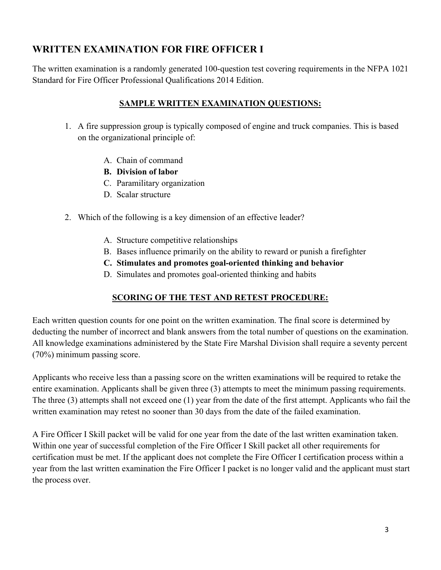## **WRITTEN EXAMINATION FOR FIRE OFFICER I**

The written examination is a randomly generated 100-question test covering requirements in the NFPA 1021 Standard for Fire Officer Professional Qualifications 2014 Edition.

### **SAMPLE WRITTEN EXAMINATION QUESTIONS:**

- 1. A fire suppression group is typically composed of engine and truck companies. This is based on the organizational principle of:
	- A. Chain of command
	- **B. Division of labor**
	- C. Paramilitary organization
	- D. Scalar structure
- 2. Which of the following is a key dimension of an effective leader?
	- A. Structure competitive relationships
	- B. Bases influence primarily on the ability to reward or punish a firefighter
	- **C. Stimulates and promotes goal-oriented thinking and behavior**
	- D. Simulates and promotes goal-oriented thinking and habits

### **SCORING OF THE TEST AND RETEST PROCEDURE:**

Each written question counts for one point on the written examination. The final score is determined by deducting the number of incorrect and blank answers from the total number of questions on the examination. All knowledge examinations administered by the State Fire Marshal Division shall require a seventy percent (70%) minimum passing score.

Applicants who receive less than a passing score on the written examinations will be required to retake the entire examination. Applicants shall be given three (3) attempts to meet the minimum passing requirements. The three (3) attempts shall not exceed one (1) year from the date of the first attempt. Applicants who fail the written examination may retest no sooner than 30 days from the date of the failed examination.

A Fire Officer I Skill packet will be valid for one year from the date of the last written examination taken. Within one year of successful completion of the Fire Officer I Skill packet all other requirements for certification must be met. If the applicant does not complete the Fire Officer I certification process within a year from the last written examination the Fire Officer I packet is no longer valid and the applicant must start the process over.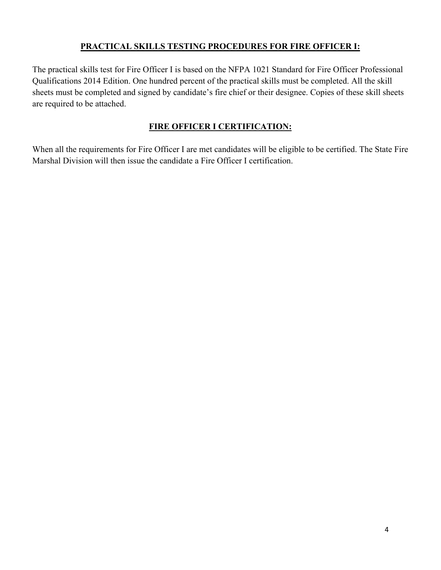### **PRACTICAL SKILLS TESTING PROCEDURES FOR FIRE OFFICER I:**

The practical skills test for Fire Officer I is based on the NFPA 1021 Standard for Fire Officer Professional Qualifications 2014 Edition. One hundred percent of the practical skills must be completed. All the skill sheets must be completed and signed by candidate's fire chief or their designee. Copies of these skill sheets are required to be attached.

## **FIRE OFFICER I CERTIFICATION:**

When all the requirements for Fire Officer I are met candidates will be eligible to be certified. The State Fire Marshal Division will then issue the candidate a Fire Officer I certification.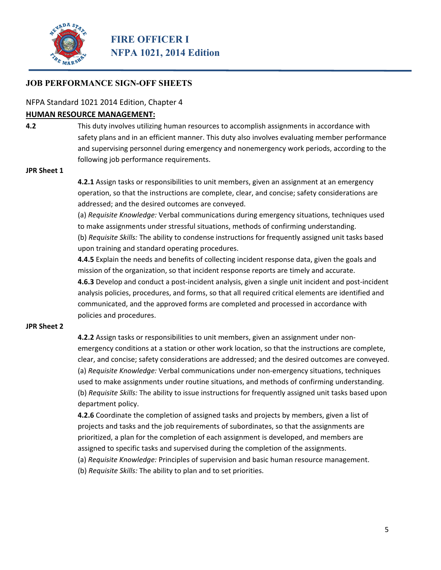

#### NFPA Standard 1021 2014 Edition, Chapter 4

#### **HUMAN RESOURCE MANAGEMENT:**

**4.2** This duty involves utilizing human resources to accomplish assignments in accordance with safety plans and in an efficient manner. This duty also involves evaluating member performance and supervising personnel during emergency and nonemergency work periods, according to the following job performance requirements.

#### **JPR Sheet 1**

**4.2.1** Assign tasks or responsibilities to unit members, given an assignment at an emergency operation, so that the instructions are complete, clear, and concise; safety considerations are addressed; and the desired outcomes are conveyed.

(a) *Requisite Knowledge:* Verbal communications during emergency situations, techniques used to make assignments under stressful situations, methods of confirming understanding. (b) *Requisite Skills:* The ability to condense instructions for frequently assigned unit tasks based upon training and standard operating procedures.

**4.4.5** Explain the needs and benefits of collecting incident response data, given the goals and mission of the organization, so that incident response reports are timely and accurate. **4.6.3** Develop and conduct a post‐incident analysis, given a single unit incident and post‐incident analysis policies, procedures, and forms, so that all required critical elements are identified and communicated, and the approved forms are completed and processed in accordance with policies and procedures.

#### **JPR Sheet 2**

**4.2.2** Assign tasks or responsibilities to unit members, given an assignment under non‐ emergency conditions at a station or other work location, so that the instructions are complete, clear, and concise; safety considerations are addressed; and the desired outcomes are conveyed. (a) *Requisite Knowledge:* Verbal communications under non‐emergency situations, techniques used to make assignments under routine situations, and methods of confirming understanding. (b) *Requisite Skills:* The ability to issue instructions for frequently assigned unit tasks based upon department policy.

**4.2.6** Coordinate the completion of assigned tasks and projects by members, given a list of projects and tasks and the job requirements of subordinates, so that the assignments are prioritized, a plan for the completion of each assignment is developed, and members are assigned to specific tasks and supervised during the completion of the assignments.

(a) *Requisite Knowledge:* Principles of supervision and basic human resource management.

(b) *Requisite Skills:* The ability to plan and to set priorities.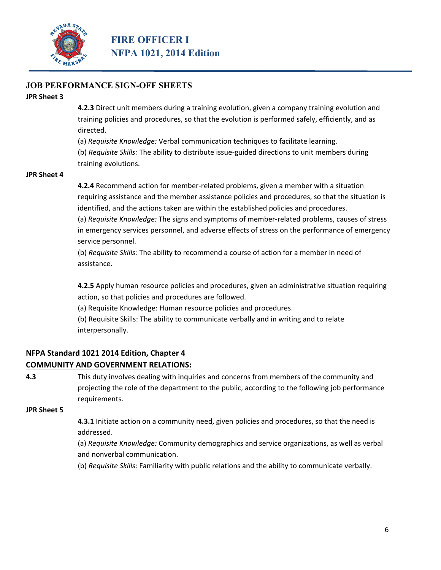

#### **JPR Sheet 3**

**4.2.3** Direct unit members during a training evolution, given a company training evolution and training policies and procedures, so that the evolution is performed safely, efficiently, and as directed.

(a) *Requisite Knowledge:* Verbal communication techniques to facilitate learning. (b) *Requisite Skills:* The ability to distribute issue‐guided directions to unit members during training evolutions.

#### **JPR Sheet 4**

**4.2.4** Recommend action for member‐related problems, given a member with a situation requiring assistance and the member assistance policies and procedures, so that the situation is identified, and the actions taken are within the established policies and procedures.

(a) *Requisite Knowledge:* The signs and symptoms of member‐related problems, causes of stress in emergency services personnel, and adverse effects of stress on the performance of emergency service personnel.

(b) *Requisite Skills:* The ability to recommend a course of action for a member in need of assistance.

**4.2.5** Apply human resource policies and procedures, given an administrative situation requiring action, so that policies and procedures are followed.

(a) Requisite Knowledge: Human resource policies and procedures.

(b) Requisite Skills: The ability to communicate verbally and in writing and to relate interpersonally.

## **NFPA Standard 1021 2014 Edition, Chapter 4**

#### **COMMUNITY AND GOVERNMENT RELATIONS:**

**4.3** This duty involves dealing with inquiries and concerns from members of the community and projecting the role of the department to the public, according to the following job performance requirements.

#### **JPR Sheet 5**

**4.3.1** Initiate action on a community need, given policies and procedures, so that the need is addressed.

(a) *Requisite Knowledge:* Community demographics and service organizations, as well as verbal and nonverbal communication.

(b) *Requisite Skills:* Familiarity with public relations and the ability to communicate verbally.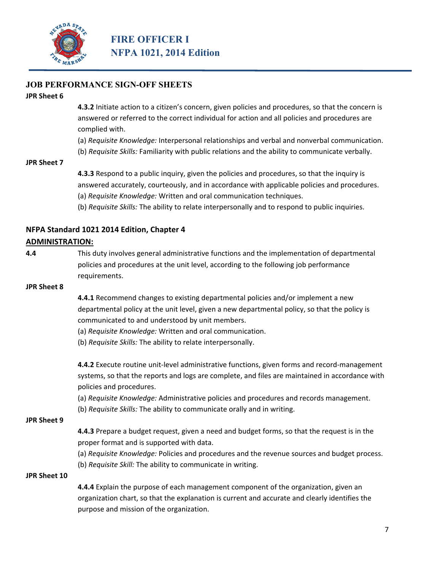

#### **JPR Sheet 6**

**4.3.2** Initiate action to a citizen's concern, given policies and procedures, so that the concern is answered or referred to the correct individual for action and all policies and procedures are complied with.

(a) *Requisite Knowledge:* Interpersonal relationships and verbal and nonverbal communication.

(b) *Requisite Skills:* Familiarity with public relations and the ability to communicate verbally.

#### **JPR Sheet 7**

**4.3.3** Respond to a public inquiry, given the policies and procedures, so that the inquiry is answered accurately, courteously, and in accordance with applicable policies and procedures.

(a) *Requisite Knowledge:* Written and oral communication techniques.

(b) *Requisite Skills:* The ability to relate interpersonally and to respond to public inquiries.

### **NFPA Standard 1021 2014 Edition, Chapter 4**

#### **ADMINISTRATION:**

**4.4** This duty involves general administrative functions and the implementation of departmental policies and procedures at the unit level, according to the following job performance requirements.

#### **JPR Sheet 8**

**4.4.1** Recommend changes to existing departmental policies and/or implement a new departmental policy at the unit level, given a new departmental policy, so that the policy is communicated to and understood by unit members.

(a) *Requisite Knowledge:* Written and oral communication.

(b) *Requisite Skills:* The ability to relate interpersonally.

**4.4.2** Execute routine unit-level administrative functions, given forms and record-management systems, so that the reports and logs are complete, and files are maintained in accordance with policies and procedures.

(a) *Requisite Knowledge:* Administrative policies and procedures and records management.

(b) *Requisite Skills:* The ability to communicate orally and in writing.

#### **JPR Sheet 9**

**4.4.3** Prepare a budget request, given a need and budget forms, so that the request is in the proper format and is supported with data.

(a) *Requisite Knowledge:* Policies and procedures and the revenue sources and budget process. (b) *Requisite Skill:* The ability to communicate in writing.

#### **JPR Sheet 10**

**4.4.4** Explain the purpose of each management component of the organization, given an organization chart, so that the explanation is current and accurate and clearly identifies the purpose and mission of the organization.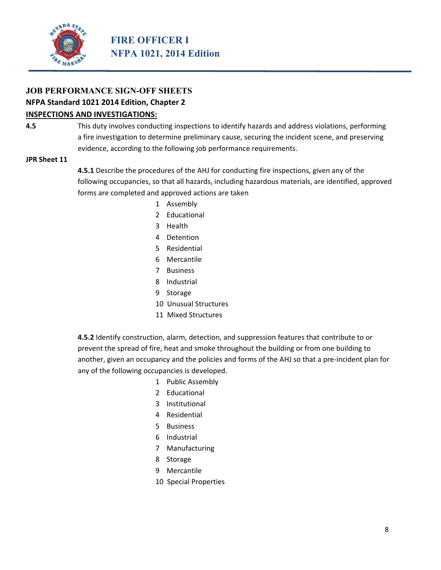

#### **NFPA Standard 1021 2014 Edition, Chapter 2**

#### **INSPECTIONS AND INVESTIGATIONS:**

**4.5** This duty involves conducting inspections to identify hazards and address violations, performing a fire investigation to determine preliminary cause, securing the incident scene, and preserving evidence, according to the following job performance requirements.

#### **JPR Sheet 11**

**4.5.1** Describe the procedures of the AHJ for conducting fire inspections, given any of the following occupancies, so that all hazards, including hazardous materials, are identified, approved forms are completed and approved actions are taken

- 1 Assembly
- 2 Educational
- 3 Health
- 4 Detention
- 5 Residential
- 6 Mercantile
- 7 Business
- 8 Industrial
- 9 Storage
- 10 Unusual Structures
- 11 Mixed Structures

**4.5.2** Identify construction, alarm, detection, and suppression features that contribute to or prevent the spread of fire, heat and smoke throughout the building or from one building to another, given an occupancy and the policies and forms of the AHJ so that a pre‐incident plan for any of the following occupancies is developed.

- 1 Public Assembly
- 2 Educational
- 3 Institutional
- 4 Residential
- 5 Business
- 6 Industrial
- 7 Manufacturing
- 8 Storage
- 9 Mercantile
- 10 Special Properties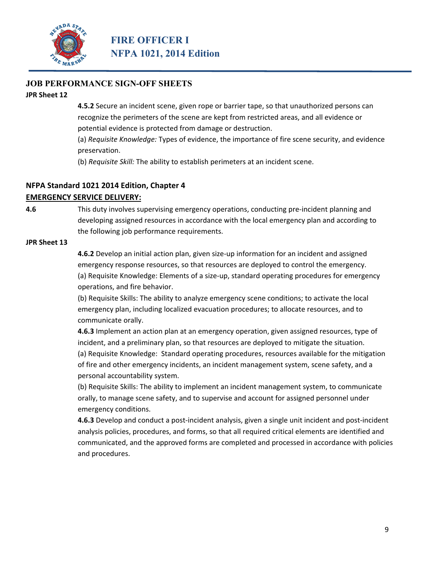

#### **JPR Sheet 12**

**4.5.2** Secure an incident scene, given rope or barrier tape, so that unauthorized persons can recognize the perimeters of the scene are kept from restricted areas, and all evidence or potential evidence is protected from damage or destruction.

(a) *Requisite Knowledge:* Types of evidence, the importance of fire scene security, and evidence preservation.

(b) *Requisite Skill:* The ability to establish perimeters at an incident scene.

#### **NFPA Standard 1021 2014 Edition, Chapter 4**

#### **EMERGENCY SERVICE DELIVERY:**

**4.6** This duty involves supervising emergency operations, conducting pre-incident planning and developing assigned resources in accordance with the local emergency plan and according to the following job performance requirements.

#### **JPR Sheet 13**

**4.6.2** Develop an initial action plan, given size‐up information for an incident and assigned emergency response resources, so that resources are deployed to control the emergency. (a) Requisite Knowledge: Elements of a size‐up, standard operating procedures for emergency operations, and fire behavior.

(b) Requisite Skills: The ability to analyze emergency scene conditions; to activate the local emergency plan, including localized evacuation procedures; to allocate resources, and to communicate orally.

**4.6.3** Implement an action plan at an emergency operation, given assigned resources, type of incident, and a preliminary plan, so that resources are deployed to mitigate the situation. (a) Requisite Knowledge: Standard operating procedures, resources available for the mitigation of fire and other emergency incidents, an incident management system, scene safety, and a personal accountability system.

(b) Requisite Skills: The ability to implement an incident management system, to communicate orally, to manage scene safety, and to supervise and account for assigned personnel under emergency conditions.

**4.6.3** Develop and conduct a post‐incident analysis, given a single unit incident and post‐incident analysis policies, procedures, and forms, so that all required critical elements are identified and communicated, and the approved forms are completed and processed in accordance with policies and procedures.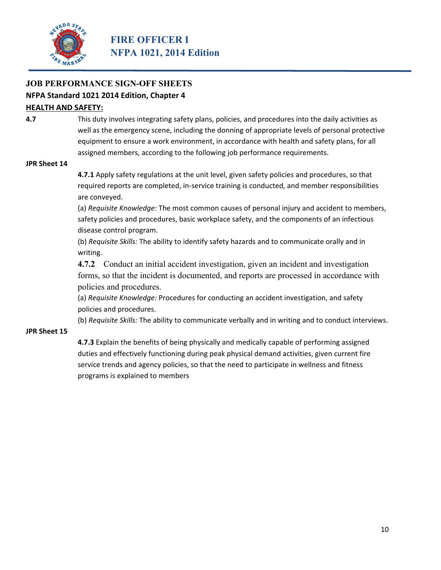

## **NFPA Standard 1021 2014 Edition, Chapter 4**

#### **HEALTH AND SAFETY:**

**4.7** This duty involves integrating safety plans, policies, and procedures into the daily activities as well as the emergency scene, including the donning of appropriate levels of personal protective equipment to ensure a work environment, in accordance with health and safety plans, for all assigned members, according to the following job performance requirements.

#### **JPR Sheet 14**

**4.7.1** Apply safety regulations at the unit level, given safety policies and procedures, so that required reports are completed, in‐service training is conducted, and member responsibilities are conveyed.

(a) *Requisite Knowledge:* The most common causes of personal injury and accident to members, safety policies and procedures, basic workplace safety, and the components of an infectious disease control program.

(b) *Requisite Skills:* The ability to identify safety hazards and to communicate orally and in writing.

**4.7.2** Conduct an initial accident investigation, given an incident and investigation forms, so that the incident is documented, and reports are processed in accordance with policies and procedures.

(a) *Requisite Knowledge:* Procedures for conducting an accident investigation, and safety policies and procedures.

(b) *Requisite Skills:* The ability to communicate verbally and in writing and to conduct interviews.

#### **JPR Sheet 15**

**4.7.3** Explain the benefits of being physically and medically capable of performing assigned duties and effectively functioning during peak physical demand activities, given current fire service trends and agency policies, so that the need to participate in wellness and fitness programs is explained to members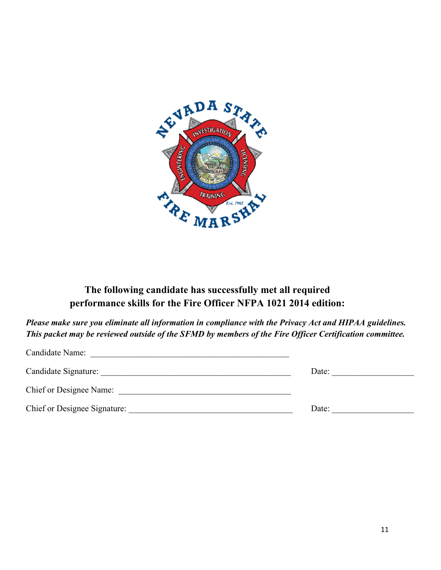

## **The following candidate has successfully met all required performance skills for the Fire Officer NFPA 1021 2014 edition:**

*Please make sure you eliminate all information in compliance with the Privacy Act and HIPAA guidelines. This packet may be reviewed outside of the SFMD by members of the Fire Officer Certification committee.* 

| Candidate Name:                |       |
|--------------------------------|-------|
| Candidate Signature:           | Date: |
| <b>Chief or Designee Name:</b> |       |
| Chief or Designee Signature:   | Date: |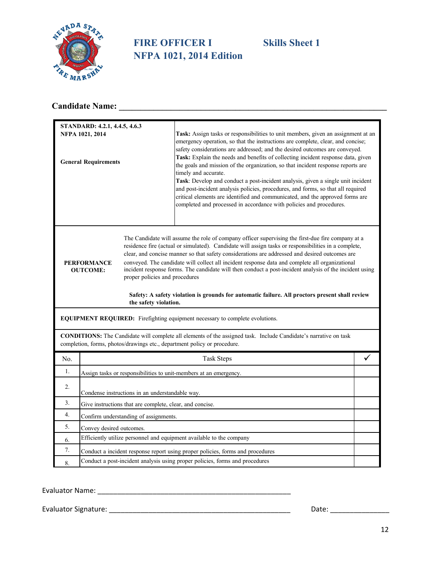

## **FIRE OFFICER I Skills Sheet 1 NFPA 1021, 2014 Edition**

## **Candidate Name: \_\_\_\_\_\_\_\_\_\_\_\_\_\_\_\_\_\_\_\_\_\_\_\_\_\_\_\_\_\_\_\_\_\_\_\_\_\_\_\_\_\_\_\_\_\_\_\_\_\_\_\_\_\_\_\_\_\_\_\_\_\_**

|     | STANDARD: 4.2.1, 4.4.5, 4.6.3                                                                    |                                                                                                                                                                                                                                                                                                                                                                                                                                                                                                                                                                                                                                                                                                                                                                                     |  |  |
|-----|--------------------------------------------------------------------------------------------------|-------------------------------------------------------------------------------------------------------------------------------------------------------------------------------------------------------------------------------------------------------------------------------------------------------------------------------------------------------------------------------------------------------------------------------------------------------------------------------------------------------------------------------------------------------------------------------------------------------------------------------------------------------------------------------------------------------------------------------------------------------------------------------------|--|--|
|     | NFPA 1021, 2014<br><b>General Requirements</b>                                                   | Task: Assign tasks or responsibilities to unit members, given an assignment at an<br>emergency operation, so that the instructions are complete, clear, and concise;<br>safety considerations are addressed; and the desired outcomes are conveyed.<br>Task: Explain the needs and benefits of collecting incident response data, given<br>the goals and mission of the organization, so that incident response reports are<br>timely and accurate.<br>Task: Develop and conduct a post-incident analysis, given a single unit incident<br>and post-incident analysis policies, procedures, and forms, so that all required<br>critical elements are identified and communicated, and the approved forms are<br>completed and processed in accordance with policies and procedures. |  |  |
|     | <b>PERFORMANCE</b><br><b>OUTCOME:</b><br>proper policies and procedures<br>the safety violation. | The Candidate will assume the role of company officer supervising the first-due fire company at a<br>residence fire (actual or simulated). Candidate will assign tasks or responsibilities in a complete,<br>clear, and concise manner so that safety considerations are addressed and desired outcomes are<br>conveyed. The candidate will collect all incident response data and complete all organizational<br>incident response forms. The candidate will then conduct a post-incident analysis of the incident using<br>Safety: A safety violation is grounds for automatic failure. All proctors present shall review                                                                                                                                                         |  |  |
|     | EQUIPMENT REQUIRED: Firefighting equipment necessary to complete evolutions.                     |                                                                                                                                                                                                                                                                                                                                                                                                                                                                                                                                                                                                                                                                                                                                                                                     |  |  |
|     | completion, forms, photos/drawings etc., department policy or procedure.                         | <b>CONDITIONS:</b> The Candidate will complete all elements of the assigned task. Include Candidate's narrative on task                                                                                                                                                                                                                                                                                                                                                                                                                                                                                                                                                                                                                                                             |  |  |
| No. |                                                                                                  | <b>Task Steps</b>                                                                                                                                                                                                                                                                                                                                                                                                                                                                                                                                                                                                                                                                                                                                                                   |  |  |
| 1.  | Assign tasks or responsibilities to unit-members at an emergency.                                |                                                                                                                                                                                                                                                                                                                                                                                                                                                                                                                                                                                                                                                                                                                                                                                     |  |  |
| 2.  | Condense instructions in an understandable way.                                                  |                                                                                                                                                                                                                                                                                                                                                                                                                                                                                                                                                                                                                                                                                                                                                                                     |  |  |
| 3.  | Give instructions that are complete, clear, and concise.                                         |                                                                                                                                                                                                                                                                                                                                                                                                                                                                                                                                                                                                                                                                                                                                                                                     |  |  |
| 4.  | Confirm understanding of assignments.                                                            |                                                                                                                                                                                                                                                                                                                                                                                                                                                                                                                                                                                                                                                                                                                                                                                     |  |  |
| 5.  | Convey desired outcomes.                                                                         |                                                                                                                                                                                                                                                                                                                                                                                                                                                                                                                                                                                                                                                                                                                                                                                     |  |  |
| 6.  | Efficiently utilize personnel and equipment available to the company                             |                                                                                                                                                                                                                                                                                                                                                                                                                                                                                                                                                                                                                                                                                                                                                                                     |  |  |
| 7.  | Conduct a incident response report using proper policies, forms and procedures                   |                                                                                                                                                                                                                                                                                                                                                                                                                                                                                                                                                                                                                                                                                                                                                                                     |  |  |
| 8.  | Conduct a post-incident analysis using proper policies, forms and procedures                     |                                                                                                                                                                                                                                                                                                                                                                                                                                                                                                                                                                                                                                                                                                                                                                                     |  |  |

Evaluator Name: \_\_\_\_\_\_\_\_\_\_\_\_\_\_\_\_\_\_\_\_\_\_\_\_\_\_\_\_\_\_\_\_\_\_\_\_\_\_\_\_\_\_\_\_\_\_\_\_\_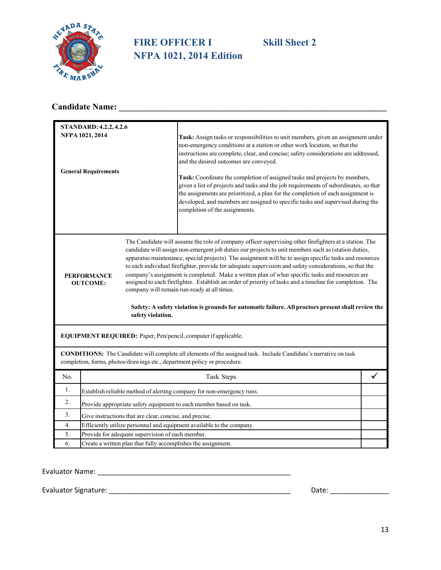

## **FIRE OFFICER I Skill Sheet 2 NFPA 1021, 2014 Edition**

## **Candidate Name: \_\_\_\_\_\_\_\_\_\_\_\_\_\_\_\_\_\_\_\_\_\_\_\_\_\_\_\_\_\_\_\_\_\_\_\_\_\_\_\_\_\_\_\_\_\_\_\_\_\_\_\_\_\_\_\_\_\_\_\_\_\_**

|     | <b>STANDARD: 4.2.2, 4.2.6</b>                                                                                                                                                                                                                                                                                                                                                                                                                                                                                                                                                                                                                                                                                                                                                                                                                                        |                                                                                                                                                                                                                                                                                                                                                                                                                                                                                                                                                                                                                                                                                |  |  |
|-----|----------------------------------------------------------------------------------------------------------------------------------------------------------------------------------------------------------------------------------------------------------------------------------------------------------------------------------------------------------------------------------------------------------------------------------------------------------------------------------------------------------------------------------------------------------------------------------------------------------------------------------------------------------------------------------------------------------------------------------------------------------------------------------------------------------------------------------------------------------------------|--------------------------------------------------------------------------------------------------------------------------------------------------------------------------------------------------------------------------------------------------------------------------------------------------------------------------------------------------------------------------------------------------------------------------------------------------------------------------------------------------------------------------------------------------------------------------------------------------------------------------------------------------------------------------------|--|--|
|     | NFPA 1021, 2014<br><b>General Requirements</b>                                                                                                                                                                                                                                                                                                                                                                                                                                                                                                                                                                                                                                                                                                                                                                                                                       | Task: Assign tasks or responsibilities to unit members, given an assignment under<br>non-emergency conditions at a station or other work location, so that the<br>instructions are complete, clear, and concise; safety considerations are addressed,<br>and the desired outcomes are conveyed.<br>Task: Coordinate the completion of assigned tasks and projects by members,<br>given a list of projects and tasks and the job requirements of subordinates, so that<br>the assignments are prioritized, a plan for the completion of each assignment is<br>developed, and members are assigned to specific tasks and supervised during the<br>completion of the assignments. |  |  |
|     | The Candidate will assume the role of company officer supervising other firefighters at a station. The<br>candidate will assign non-emergent job duties our projects to unit members such as (station duties,<br>apparatus maintenance, special projects) The assignment will be to assign specific tasks and resources<br>to each individual firefighter, provide for adequate supervision and safety considerations, so that the<br>company's assignment is completed. Make a written plan of what specific tasks and resources are<br><b>PERFORMANCE</b><br>assigned to each firefighter. Establish an order of priority of tasks and a timeline for completion. The<br><b>OUTCOME:</b><br>company will remain run-ready at all times.<br>Safety: A safety violation is grounds for automatic failure. All proctors present shall review the<br>safety violation. |                                                                                                                                                                                                                                                                                                                                                                                                                                                                                                                                                                                                                                                                                |  |  |
|     | EQUIPMENT REQUIRED: Paper, Pen/pencil, computer if applicable.                                                                                                                                                                                                                                                                                                                                                                                                                                                                                                                                                                                                                                                                                                                                                                                                       |                                                                                                                                                                                                                                                                                                                                                                                                                                                                                                                                                                                                                                                                                |  |  |
|     |                                                                                                                                                                                                                                                                                                                                                                                                                                                                                                                                                                                                                                                                                                                                                                                                                                                                      | CONDITIONS: The Candidate will complete all elements of the assigned task. Include Candidate's narrative on task<br>completion, forms, photos/drawings etc., department policy or procedure.                                                                                                                                                                                                                                                                                                                                                                                                                                                                                   |  |  |
| No. |                                                                                                                                                                                                                                                                                                                                                                                                                                                                                                                                                                                                                                                                                                                                                                                                                                                                      | Task Steps                                                                                                                                                                                                                                                                                                                                                                                                                                                                                                                                                                                                                                                                     |  |  |
| 1.  |                                                                                                                                                                                                                                                                                                                                                                                                                                                                                                                                                                                                                                                                                                                                                                                                                                                                      | Establish reliable method of alerting company for non-emergency runs.                                                                                                                                                                                                                                                                                                                                                                                                                                                                                                                                                                                                          |  |  |
| 2.  | Provide appropriate safety equipment to each member based on task.                                                                                                                                                                                                                                                                                                                                                                                                                                                                                                                                                                                                                                                                                                                                                                                                   |                                                                                                                                                                                                                                                                                                                                                                                                                                                                                                                                                                                                                                                                                |  |  |
| 3.  | Give instructions that are clear, concise, and precise.                                                                                                                                                                                                                                                                                                                                                                                                                                                                                                                                                                                                                                                                                                                                                                                                              |                                                                                                                                                                                                                                                                                                                                                                                                                                                                                                                                                                                                                                                                                |  |  |
| 4.  | Efficiently utilize personnel and equipment available to the company.                                                                                                                                                                                                                                                                                                                                                                                                                                                                                                                                                                                                                                                                                                                                                                                                |                                                                                                                                                                                                                                                                                                                                                                                                                                                                                                                                                                                                                                                                                |  |  |
| 5.  | Provide for adequate supervision of each member.                                                                                                                                                                                                                                                                                                                                                                                                                                                                                                                                                                                                                                                                                                                                                                                                                     |                                                                                                                                                                                                                                                                                                                                                                                                                                                                                                                                                                                                                                                                                |  |  |
| 6.  | Create a written plan that fully accomplishes the assignment.                                                                                                                                                                                                                                                                                                                                                                                                                                                                                                                                                                                                                                                                                                                                                                                                        |                                                                                                                                                                                                                                                                                                                                                                                                                                                                                                                                                                                                                                                                                |  |  |

Evaluator Name: \_\_\_\_\_\_\_\_\_\_\_\_\_\_\_\_\_\_\_\_\_\_\_\_\_\_\_\_\_\_\_\_\_\_\_\_\_\_\_\_\_\_\_\_\_\_\_\_\_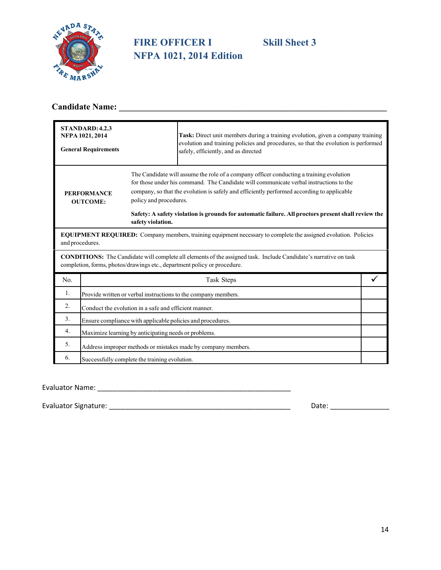

## **FIRE OFFICER I Skill Sheet 3 NFPA 1021, 2014 Edition**

## **Candidate Name: \_\_\_\_\_\_\_\_\_\_\_\_\_\_\_\_\_\_\_\_\_\_\_\_\_\_\_\_\_\_\_\_\_\_\_\_\_\_\_\_\_\_\_\_\_\_\_\_\_\_\_\_\_\_\_\_\_\_\_\_\_\_**

|     | STANDARD: 4.2.3<br>NFPA 1021, 2014<br><b>General Requirements</b>                                                                                                                                   |  | Task: Direct unit members during a training evolution, given a company training<br>evolution and training policies and procedures, so that the evolution is performed<br>safely, efficiently, and as directed                                                                                                                                                                         |  |
|-----|-----------------------------------------------------------------------------------------------------------------------------------------------------------------------------------------------------|--|---------------------------------------------------------------------------------------------------------------------------------------------------------------------------------------------------------------------------------------------------------------------------------------------------------------------------------------------------------------------------------------|--|
|     | <b>PERFORMANCE</b><br>policy and procedures.<br><b>OUTCOME:</b><br>safety violation.                                                                                                                |  | The Candidate will assume the role of a company officer conducting a training evolution<br>for those under his command. The Candidate will communicate verbal instructions to the<br>company, so that the evolution is safely and efficiently performed according to applicable<br>Safety: A safety violation is grounds for automatic failure. All proctors present shall review the |  |
|     | <b>EQUIPMENT REQUIRED:</b> Company members, training equipment necessary to complete the assigned evolution. Policies<br>and procedures.                                                            |  |                                                                                                                                                                                                                                                                                                                                                                                       |  |
|     | <b>CONDITIONS:</b> The Candidate will complete all elements of the assigned task. Include Candidate's narrative on task<br>completion, forms, photos/drawings etc., department policy or procedure. |  |                                                                                                                                                                                                                                                                                                                                                                                       |  |
| No. | Task Steps                                                                                                                                                                                          |  |                                                                                                                                                                                                                                                                                                                                                                                       |  |
| 1.  | Provide written or verbal instructions to the company members.                                                                                                                                      |  |                                                                                                                                                                                                                                                                                                                                                                                       |  |
| 2.  | Conduct the evolution in a safe and efficient manner.                                                                                                                                               |  |                                                                                                                                                                                                                                                                                                                                                                                       |  |
| 3.  | Ensure compliance with applicable policies and procedures.                                                                                                                                          |  |                                                                                                                                                                                                                                                                                                                                                                                       |  |
| 4.  | Maximize learning by anticipating needs or problems.                                                                                                                                                |  |                                                                                                                                                                                                                                                                                                                                                                                       |  |
| 5.  | Address improper methods or mistakes made by company members.                                                                                                                                       |  |                                                                                                                                                                                                                                                                                                                                                                                       |  |
| 6.  | Successfully complete the training evolution.                                                                                                                                                       |  |                                                                                                                                                                                                                                                                                                                                                                                       |  |

### Evaluator Name: \_\_\_\_\_\_\_\_\_\_\_\_\_\_\_\_\_\_\_\_\_\_\_\_\_\_\_\_\_\_\_\_\_\_\_\_\_\_\_\_\_\_\_\_\_\_\_\_\_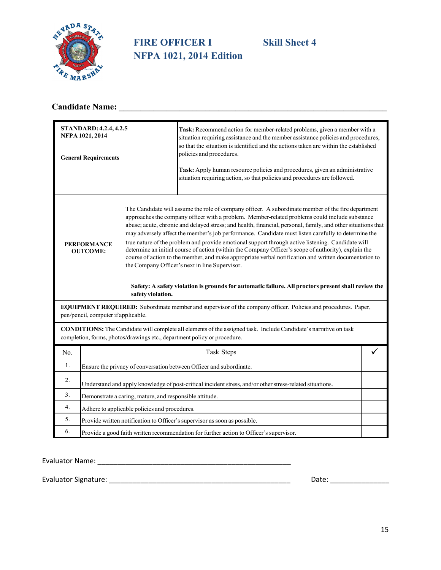

## **FIRE OFFICER I Skill Sheet 4 NFPA 1021, 2014 Edition**

## **Candidate Name: \_\_\_\_\_\_\_\_\_\_\_\_\_\_\_\_\_\_\_\_\_\_\_\_\_\_\_\_\_\_\_\_\_\_\_\_\_\_\_\_\_\_\_\_\_\_\_\_\_\_\_\_\_\_\_\_\_\_\_\_\_\_**

|     | <b>STANDARD: 4.2.4, 4.2.5</b><br>Task: Recommend action for member-related problems, given a member with a<br>NFPA 1021, 2014<br>situation requiring assistance and the member assistance policies and procedures,<br>so that the situation is identified and the actions taken are within the established<br>policies and procedures.<br><b>General Requirements</b><br>Task: Apply human resource policies and procedures, given an administrative<br>situation requiring action, so that policies and procedures are followed. |                   |                                                                                                                                                                                                                                                                                                                                                                                                                                                                                                                                                                                                                                                                                                                                                                                                                                                                                                                                                                                                                            |   |
|-----|-----------------------------------------------------------------------------------------------------------------------------------------------------------------------------------------------------------------------------------------------------------------------------------------------------------------------------------------------------------------------------------------------------------------------------------------------------------------------------------------------------------------------------------|-------------------|----------------------------------------------------------------------------------------------------------------------------------------------------------------------------------------------------------------------------------------------------------------------------------------------------------------------------------------------------------------------------------------------------------------------------------------------------------------------------------------------------------------------------------------------------------------------------------------------------------------------------------------------------------------------------------------------------------------------------------------------------------------------------------------------------------------------------------------------------------------------------------------------------------------------------------------------------------------------------------------------------------------------------|---|
|     | <b>PERFORMANCE</b><br><b>OUTCOME:</b>                                                                                                                                                                                                                                                                                                                                                                                                                                                                                             | safety violation. | The Candidate will assume the role of company officer. A subordinate member of the fire department<br>approaches the company officer with a problem. Member-related problems could include substance<br>abuse; acute, chronic and delayed stress; and health, financial, personal, family, and other situations that<br>may adversely affect the member's job performance. Candidate must listen carefully to determine the<br>true nature of the problem and provide emotional support through active listening. Candidate will<br>determine an initial course of action (within the Company Officer's scope of authority), explain the<br>course of action to the member, and make appropriate verbal notification and written documentation to<br>the Company Officer's next in line Supervisor.<br>Safety: A safety violation is grounds for automatic failure. All proctors present shall review the<br>EQUIPMENT REQUIRED: Subordinate member and supervisor of the company officer. Policies and procedures. Paper, |   |
|     | pen/pencil, computer if applicable.                                                                                                                                                                                                                                                                                                                                                                                                                                                                                               |                   |                                                                                                                                                                                                                                                                                                                                                                                                                                                                                                                                                                                                                                                                                                                                                                                                                                                                                                                                                                                                                            |   |
|     | CONDITIONS: The Candidate will complete all elements of the assigned task. Include Candidate's narrative on task<br>completion, forms, photos/drawings etc., department policy or procedure.                                                                                                                                                                                                                                                                                                                                      |                   |                                                                                                                                                                                                                                                                                                                                                                                                                                                                                                                                                                                                                                                                                                                                                                                                                                                                                                                                                                                                                            |   |
| No. |                                                                                                                                                                                                                                                                                                                                                                                                                                                                                                                                   |                   | Task Steps                                                                                                                                                                                                                                                                                                                                                                                                                                                                                                                                                                                                                                                                                                                                                                                                                                                                                                                                                                                                                 | ✓ |
| 1.  |                                                                                                                                                                                                                                                                                                                                                                                                                                                                                                                                   |                   | Ensure the privacy of conversation between Officer and subordinate.                                                                                                                                                                                                                                                                                                                                                                                                                                                                                                                                                                                                                                                                                                                                                                                                                                                                                                                                                        |   |
| 2.  | Understand and apply knowledge of post-critical incident stress, and/or other stress-related situations.                                                                                                                                                                                                                                                                                                                                                                                                                          |                   |                                                                                                                                                                                                                                                                                                                                                                                                                                                                                                                                                                                                                                                                                                                                                                                                                                                                                                                                                                                                                            |   |
| 3.  | Demonstrate a caring, mature, and responsible attitude.                                                                                                                                                                                                                                                                                                                                                                                                                                                                           |                   |                                                                                                                                                                                                                                                                                                                                                                                                                                                                                                                                                                                                                                                                                                                                                                                                                                                                                                                                                                                                                            |   |
| 4.  | Adhere to applicable policies and procedures.                                                                                                                                                                                                                                                                                                                                                                                                                                                                                     |                   |                                                                                                                                                                                                                                                                                                                                                                                                                                                                                                                                                                                                                                                                                                                                                                                                                                                                                                                                                                                                                            |   |
| 5.  | Provide written notification to Officer's supervisor as soon as possible.                                                                                                                                                                                                                                                                                                                                                                                                                                                         |                   |                                                                                                                                                                                                                                                                                                                                                                                                                                                                                                                                                                                                                                                                                                                                                                                                                                                                                                                                                                                                                            |   |
| 6.  | Provide a good faith written recommendation for further action to Officer's supervisor.                                                                                                                                                                                                                                                                                                                                                                                                                                           |                   |                                                                                                                                                                                                                                                                                                                                                                                                                                                                                                                                                                                                                                                                                                                                                                                                                                                                                                                                                                                                                            |   |

Evaluator Name: \_\_\_\_\_\_\_\_\_\_\_\_\_\_\_\_\_\_\_\_\_\_\_\_\_\_\_\_\_\_\_\_\_\_\_\_\_\_\_\_\_\_\_\_\_\_\_\_\_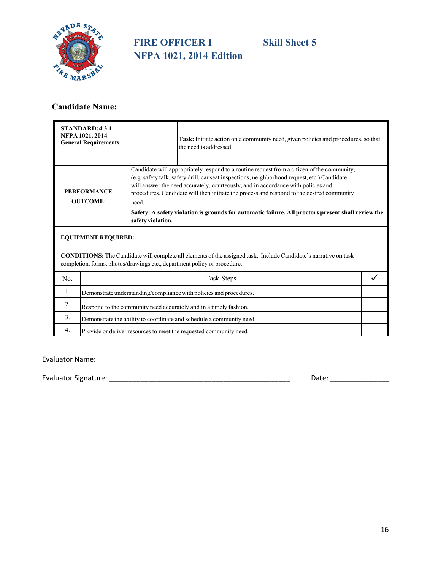

## **FIRE OFFICER I** Skill Sheet 5 **NFPA 1021, 2014 Edition**

## **Candidate Name: \_\_\_\_\_\_\_\_\_\_\_\_\_\_\_\_\_\_\_\_\_\_\_\_\_\_\_\_\_\_\_\_\_\_\_\_\_\_\_\_\_\_\_\_\_\_\_\_\_\_\_\_\_\_\_\_\_\_\_\_\_\_**

|     | <b>STANDARD: 4.3.1</b><br>NFPA 1021, 2014<br><b>General Requirements</b> |                                                                          | Task: Initiate action on a community need, given policies and procedures, so that<br>the need is addressed.                                                                                                                                                                                                                                                                                                                                                                        |  |
|-----|--------------------------------------------------------------------------|--------------------------------------------------------------------------|------------------------------------------------------------------------------------------------------------------------------------------------------------------------------------------------------------------------------------------------------------------------------------------------------------------------------------------------------------------------------------------------------------------------------------------------------------------------------------|--|
|     | <b>PERFORMANCE</b><br><b>OUTCOME:</b>                                    | need.<br>safety violation.                                               | Candidate will appropriately respond to a routine request from a citizen of the community,<br>(e.g. safety talk, safety drill, car seat inspections, neighborhood request, etc.) Candidate<br>will answer the need accurately, courteously, and in accordance with policies and<br>procedures. Candidate will then initiate the process and respond to the desired community<br>Safety: A safety violation is grounds for automatic failure. All proctors present shall review the |  |
|     | <b>EQUIPMENT REQUIRED:</b>                                               |                                                                          |                                                                                                                                                                                                                                                                                                                                                                                                                                                                                    |  |
|     |                                                                          | completion, forms, photos/drawings etc., department policy or procedure. | <b>CONDITIONS:</b> The Candidate will complete all elements of the assigned task. Include Candidate's narrative on task                                                                                                                                                                                                                                                                                                                                                            |  |
| No. |                                                                          |                                                                          | Task Steps                                                                                                                                                                                                                                                                                                                                                                                                                                                                         |  |
| 1.  | Demonstrate understanding/compliance with policies and procedures.       |                                                                          |                                                                                                                                                                                                                                                                                                                                                                                                                                                                                    |  |
| 2.  | Respond to the community need accurately and in a timely fashion.        |                                                                          |                                                                                                                                                                                                                                                                                                                                                                                                                                                                                    |  |
| 3.  | Demonstrate the ability to coordinate and schedule a community need.     |                                                                          |                                                                                                                                                                                                                                                                                                                                                                                                                                                                                    |  |
| 4.  |                                                                          |                                                                          | Provide or deliver resources to meet the requested community need.                                                                                                                                                                                                                                                                                                                                                                                                                 |  |

Evaluator Name: \_\_\_\_\_\_\_\_\_\_\_\_\_\_\_\_\_\_\_\_\_\_\_\_\_\_\_\_\_\_\_\_\_\_\_\_\_\_\_\_\_\_\_\_\_\_\_\_\_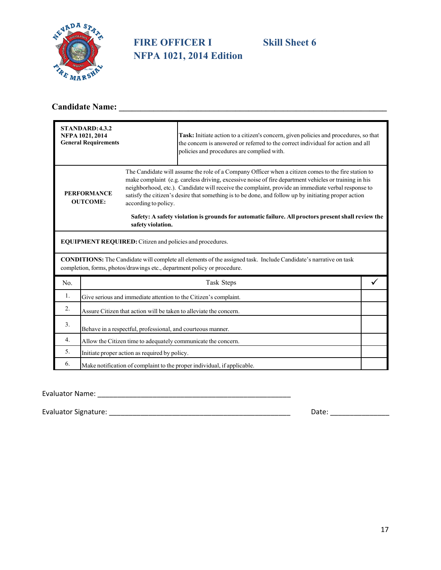

## **FIRE OFFICER I Skill Sheet 6 NFPA 1021, 2014 Edition**

## **Candidate Name: \_\_\_\_\_\_\_\_\_\_\_\_\_\_\_\_\_\_\_\_\_\_\_\_\_\_\_\_\_\_\_\_\_\_\_\_\_\_\_\_\_\_\_\_\_\_\_\_\_\_\_\_\_\_\_\_\_\_\_\_\_\_**

|     | STANDARD: 4.3.2<br>NFPA 1021, 2014<br><b>General Requirements</b>       |                                                                 | Task: Initiate action to a citizen's concern, given policies and procedures, so that<br>the concern is answered or referred to the correct individual for action and all<br>policies and procedures are complied with.                                                                                                                                                                                                                                                                                                           |  |
|-----|-------------------------------------------------------------------------|-----------------------------------------------------------------|----------------------------------------------------------------------------------------------------------------------------------------------------------------------------------------------------------------------------------------------------------------------------------------------------------------------------------------------------------------------------------------------------------------------------------------------------------------------------------------------------------------------------------|--|
|     | <b>PERFORMANCE</b><br><b>OUTCOME:</b>                                   | according to policy.<br>safety violation.                       | The Candidate will assume the role of a Company Officer when a citizen comes to the fire station to<br>make complaint (e.g. careless driving, excessive noise of fire department vehicles or training in his<br>neighborhood, etc.). Candidate will receive the complaint, provide an immediate verbal response to<br>satisfy the citizen's desire that something is to be done, and follow up by initiating proper action<br>Safety: A safety violation is grounds for automatic failure. All proctors present shall review the |  |
|     |                                                                         | <b>EQUIPMENT REQUIRED:</b> Citizen and policies and procedures. |                                                                                                                                                                                                                                                                                                                                                                                                                                                                                                                                  |  |
|     |                                                                         |                                                                 | <b>CONDITIONS:</b> The Candidate will complete all elements of the assigned task. Include Candidate's narrative on task<br>completion, forms, photos/drawings etc., department policy or procedure.                                                                                                                                                                                                                                                                                                                              |  |
| No. |                                                                         |                                                                 | Task Steps                                                                                                                                                                                                                                                                                                                                                                                                                                                                                                                       |  |
| 1.  | Give serious and immediate attention to the Citizen's complaint.        |                                                                 |                                                                                                                                                                                                                                                                                                                                                                                                                                                                                                                                  |  |
| 2.  | Assure Citizen that action will be taken to alleviate the concern.      |                                                                 |                                                                                                                                                                                                                                                                                                                                                                                                                                                                                                                                  |  |
| 3.  | Behave in a respectful, professional, and courteous manner.             |                                                                 |                                                                                                                                                                                                                                                                                                                                                                                                                                                                                                                                  |  |
| 4.  | Allow the Citizen time to adequately communicate the concern.           |                                                                 |                                                                                                                                                                                                                                                                                                                                                                                                                                                                                                                                  |  |
| 5.  | Initiate proper action as required by policy.                           |                                                                 |                                                                                                                                                                                                                                                                                                                                                                                                                                                                                                                                  |  |
| 6.  | Make notification of complaint to the proper individual, if applicable. |                                                                 |                                                                                                                                                                                                                                                                                                                                                                                                                                                                                                                                  |  |

Evaluator Name: \_\_\_\_\_\_\_\_\_\_\_\_\_\_\_\_\_\_\_\_\_\_\_\_\_\_\_\_\_\_\_\_\_\_\_\_\_\_\_\_\_\_\_\_\_\_\_\_\_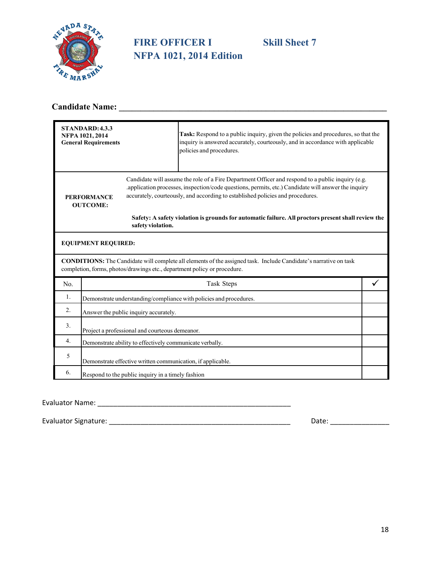

## **FIRE OFFICER I Skill Sheet 7 NFPA 1021, 2014 Edition**

## **Candidate Name: \_\_\_\_\_\_\_\_\_\_\_\_\_\_\_\_\_\_\_\_\_\_\_\_\_\_\_\_\_\_\_\_\_\_\_\_\_\_\_\_\_\_\_\_\_\_\_\_\_\_\_\_\_\_\_\_\_\_\_\_\_\_**

|     | STANDARD: 4.3.3<br>NFPA 1021, 2014<br><b>General Requirements</b>  |                                                   | Task: Respond to a public inquiry, given the policies and procedures, so that the<br>inquiry is answered accurately, courteously, and in accordance with applicable<br>policies and procedures.                                                                                            |  |
|-----|--------------------------------------------------------------------|---------------------------------------------------|--------------------------------------------------------------------------------------------------------------------------------------------------------------------------------------------------------------------------------------------------------------------------------------------|--|
|     | <b>PERFORMANCE</b><br><b>OUTCOME:</b>                              |                                                   | Candidate will assume the role of a Fire Department Officer and respond to a public inquiry (e.g.<br>.application processes, inspection/code questions, permits, etc.) Candidate will answer the inquiry<br>accurately, courteously, and according to established policies and procedures. |  |
|     |                                                                    | safety violation.                                 | Safety: A safety violation is grounds for automatic failure. All proctors present shall review the                                                                                                                                                                                         |  |
|     | <b>EQUIPMENT REQUIRED:</b>                                         |                                                   |                                                                                                                                                                                                                                                                                            |  |
|     |                                                                    |                                                   | <b>CONDITIONS:</b> The Candidate will complete all elements of the assigned task. Include Candidate's narrative on task<br>completion, forms, photos/drawings etc., department policy or procedure.                                                                                        |  |
| No. | Task Steps                                                         |                                                   |                                                                                                                                                                                                                                                                                            |  |
| 1.  | Demonstrate understanding/compliance with policies and procedures. |                                                   |                                                                                                                                                                                                                                                                                            |  |
| 2.  |                                                                    | Answer the public inquiry accurately.             |                                                                                                                                                                                                                                                                                            |  |
| 3.  |                                                                    | Project a professional and courteous demeanor.    |                                                                                                                                                                                                                                                                                            |  |
| 4.  | Demonstrate ability to effectively communicate verbally.           |                                                   |                                                                                                                                                                                                                                                                                            |  |
| 5   | Demonstrate effective written communication, if applicable.        |                                                   |                                                                                                                                                                                                                                                                                            |  |
| 6.  |                                                                    | Respond to the public inquiry in a timely fashion |                                                                                                                                                                                                                                                                                            |  |

### Evaluator Name: \_\_\_\_\_\_\_\_\_\_\_\_\_\_\_\_\_\_\_\_\_\_\_\_\_\_\_\_\_\_\_\_\_\_\_\_\_\_\_\_\_\_\_\_\_\_\_\_\_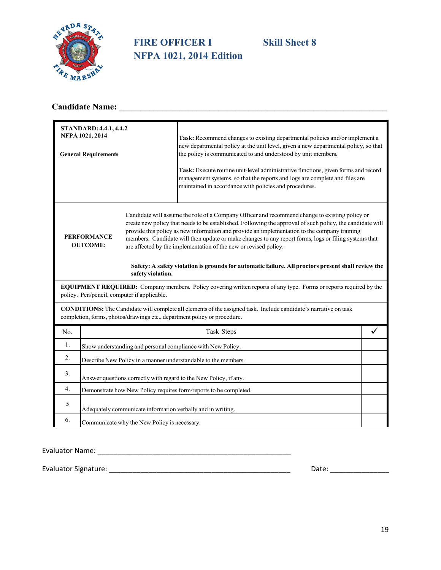

## **FIRE OFFICER I Skill Sheet 8 NFPA 1021, 2014 Edition**

## **Candidate Name: \_\_\_\_\_\_\_\_\_\_\_\_\_\_\_\_\_\_\_\_\_\_\_\_\_\_\_\_\_\_\_\_\_\_\_\_\_\_\_\_\_\_\_\_\_\_\_\_\_\_\_\_\_\_\_\_\_\_\_\_\_\_**

|     | <b>STANDARD: 4.4.1, 4.4.2</b><br>NFPA 1021, 2014<br><b>General Requirements</b>                                                                                                              |                                              | Task: Recommend changes to existing departmental policies and/or implement a<br>new departmental policy at the unit level, given a new departmental policy, so that<br>the policy is communicated to and understood by unit members.<br>Task: Execute routine unit-level administrative functions, given forms and record<br>management systems, so that the reports and logs are complete and files are<br>maintained in accordance with policies and procedures.                                                                                                                            |  |
|-----|----------------------------------------------------------------------------------------------------------------------------------------------------------------------------------------------|----------------------------------------------|-----------------------------------------------------------------------------------------------------------------------------------------------------------------------------------------------------------------------------------------------------------------------------------------------------------------------------------------------------------------------------------------------------------------------------------------------------------------------------------------------------------------------------------------------------------------------------------------------|--|
|     | <b>PERFORMANCE</b><br><b>OUTCOME:</b>                                                                                                                                                        | safety violation.                            | Candidate will assume the role of a Company Officer and recommend change to existing policy or<br>create new policy that needs to be established. Following the approval of such policy, the candidate will<br>provide this policy as new information and provide an implementation to the company training<br>members. Candidate will then update or make changes to any report forms, logs or filing systems that<br>are affected by the implementation of the new or revised policy.<br>Safety: A safety violation is grounds for automatic failure. All proctors present shall review the |  |
|     | EQUIPMENT REQUIRED: Company members. Policy covering written reports of any type. Forms or reports required by the<br>policy. Pen/pencil, computer if applicable.                            |                                              |                                                                                                                                                                                                                                                                                                                                                                                                                                                                                                                                                                                               |  |
|     | CONDITIONS: The Candidate will complete all elements of the assigned task. Include candidate's narrative on task<br>completion, forms, photos/drawings etc., department policy or procedure. |                                              |                                                                                                                                                                                                                                                                                                                                                                                                                                                                                                                                                                                               |  |
| No. |                                                                                                                                                                                              |                                              | Task Steps                                                                                                                                                                                                                                                                                                                                                                                                                                                                                                                                                                                    |  |
| 1.  |                                                                                                                                                                                              |                                              | Show understanding and personal compliance with New Policy.                                                                                                                                                                                                                                                                                                                                                                                                                                                                                                                                   |  |
| 2.  |                                                                                                                                                                                              |                                              | Describe New Policy in a manner understandable to the members.                                                                                                                                                                                                                                                                                                                                                                                                                                                                                                                                |  |
| 3.  | Answer questions correctly with regard to the New Policy, if any.                                                                                                                            |                                              |                                                                                                                                                                                                                                                                                                                                                                                                                                                                                                                                                                                               |  |
| 4.  | Demonstrate how New Policy requires form/reports to be completed.                                                                                                                            |                                              |                                                                                                                                                                                                                                                                                                                                                                                                                                                                                                                                                                                               |  |
| 5   | Adequately communicate information verbally and in writing.                                                                                                                                  |                                              |                                                                                                                                                                                                                                                                                                                                                                                                                                                                                                                                                                                               |  |
| 6.  |                                                                                                                                                                                              | Communicate why the New Policy is necessary. |                                                                                                                                                                                                                                                                                                                                                                                                                                                                                                                                                                                               |  |

Evaluator Name: \_\_\_\_\_\_\_\_\_\_\_\_\_\_\_\_\_\_\_\_\_\_\_\_\_\_\_\_\_\_\_\_\_\_\_\_\_\_\_\_\_\_\_\_\_\_\_\_\_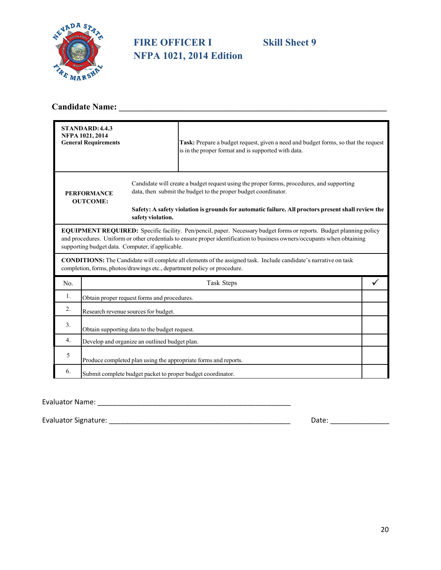

## **FIRE OFFICER I Skill Sheet 9 NFPA 1021, 2014 Edition**

## **Candidate Name: \_\_\_\_\_\_\_\_\_\_\_\_\_\_\_\_\_\_\_\_\_\_\_\_\_\_\_\_\_\_\_\_\_\_\_\_\_\_\_\_\_\_\_\_\_\_\_\_\_\_\_\_\_\_\_\_\_\_\_\_\_\_**

|                                       | <b>STANDARD: 4.4.3</b><br>NFPA 1021, 2014<br><b>General Requirements</b>                                                                                                                                                                                                                            |                                                             | Task: Prepare a budget request, given a need and budget forms, so that the request<br>is in the proper format and is supported with data.                                                                                                                         |  |
|---------------------------------------|-----------------------------------------------------------------------------------------------------------------------------------------------------------------------------------------------------------------------------------------------------------------------------------------------------|-------------------------------------------------------------|-------------------------------------------------------------------------------------------------------------------------------------------------------------------------------------------------------------------------------------------------------------------|--|
| <b>PERFORMANCE</b><br><b>OUTCOME:</b> |                                                                                                                                                                                                                                                                                                     | safety violation.                                           | Candidate will create a budget request using the proper forms, procedures, and supporting<br>data, then submit the budget to the proper budget coordinator.<br>Safety: A safety violation is grounds for automatic failure. All proctors present shall review the |  |
|                                       | EQUIPMENT REQUIRED: Specific facility. Pen/pencil, paper. Necessary budget forms or reports. Budget planning policy<br>and procedures. Uniform or other credentials to ensure proper identification to business owners/occupants when obtaining<br>supporting budget data. Computer, if applicable. |                                                             |                                                                                                                                                                                                                                                                   |  |
|                                       |                                                                                                                                                                                                                                                                                                     |                                                             | <b>CONDITIONS:</b> The Candidate will complete all elements of the assigned task. Include candidate's narrative on task<br>completion, forms, photos/drawings etc., department policy or procedure.                                                               |  |
| No.                                   |                                                                                                                                                                                                                                                                                                     |                                                             | Task Steps                                                                                                                                                                                                                                                        |  |
| 1.                                    |                                                                                                                                                                                                                                                                                                     | Obtain proper request forms and procedures.                 |                                                                                                                                                                                                                                                                   |  |
| 2.                                    |                                                                                                                                                                                                                                                                                                     | Research revenue sources for budget.                        |                                                                                                                                                                                                                                                                   |  |
| 3.                                    | Obtain supporting data to the budget request.                                                                                                                                                                                                                                                       |                                                             |                                                                                                                                                                                                                                                                   |  |
| 4.                                    | Develop and organize an outlined budget plan.                                                                                                                                                                                                                                                       |                                                             |                                                                                                                                                                                                                                                                   |  |
| 5                                     |                                                                                                                                                                                                                                                                                                     |                                                             | Produce completed plan using the appropriate forms and reports.                                                                                                                                                                                                   |  |
| 6.                                    |                                                                                                                                                                                                                                                                                                     | Submit complete budget packet to proper budget coordinator. |                                                                                                                                                                                                                                                                   |  |

#### Evaluator Name: \_\_\_\_\_\_\_\_\_\_\_\_\_\_\_\_\_\_\_\_\_\_\_\_\_\_\_\_\_\_\_\_\_\_\_\_\_\_\_\_\_\_\_\_\_\_\_\_\_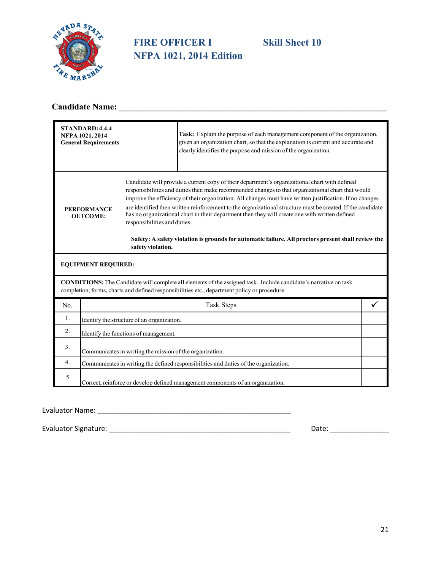

## **FIRE OFFICER I Skill Sheet 10 NFPA 1021, 2014 Edition**

## **Candidate Name: \_\_\_\_\_\_\_\_\_\_\_\_\_\_\_\_\_\_\_\_\_\_\_\_\_\_\_\_\_\_\_\_\_\_\_\_\_\_\_\_\_\_\_\_\_\_\_\_\_\_\_\_\_\_\_\_\_\_\_\_\_\_**

| STANDARD: 4.4.4<br>NFPA 1021, 2014<br><b>General Requirements</b> |                                                                                 | Task: Explain the purpose of each management component of the organization,<br>given an organization chart, so that the explanation is current and accurate and<br>clearly identifies the purpose and mission of the organization.                                                                                                                                                                                                                                                                                                                                                                                                    |  |
|-------------------------------------------------------------------|---------------------------------------------------------------------------------|---------------------------------------------------------------------------------------------------------------------------------------------------------------------------------------------------------------------------------------------------------------------------------------------------------------------------------------------------------------------------------------------------------------------------------------------------------------------------------------------------------------------------------------------------------------------------------------------------------------------------------------|--|
| <b>PERFORMANCE</b><br><b>OUTCOME:</b>                             | responsibilities and duties.<br>safety violation.                               | Candidate will provide a current copy of their department's organizational chart with defined<br>responsibilities and duties then make recommended changes to that organizational chart that would<br>improve the efficiency of their organization. All changes must have written justification. If no changes<br>are identified then written reinforcement to the organizational structure must be created. If the candidate<br>has no organizational chart in their department then they will create one with written defined<br>Safety: A safety violation is grounds for automatic failure. All proctors present shall review the |  |
| <b>EQUIPMENT REQUIRED:</b>                                        |                                                                                 |                                                                                                                                                                                                                                                                                                                                                                                                                                                                                                                                                                                                                                       |  |
|                                                                   |                                                                                 | <b>CONDITIONS:</b> The Candidate will complete all elements of the assigned task. Include candidate's narrative on task<br>completion, forms, charts and defined responsibilities etc., department policy or procedure.                                                                                                                                                                                                                                                                                                                                                                                                               |  |
| No.                                                               |                                                                                 | Task Steps                                                                                                                                                                                                                                                                                                                                                                                                                                                                                                                                                                                                                            |  |
| 1.                                                                | Identify the structure of an organization.                                      |                                                                                                                                                                                                                                                                                                                                                                                                                                                                                                                                                                                                                                       |  |
| 2.                                                                | Identify the functions of management.                                           |                                                                                                                                                                                                                                                                                                                                                                                                                                                                                                                                                                                                                                       |  |
| 3.                                                                | Communicates in writing the mission of the organization.                        |                                                                                                                                                                                                                                                                                                                                                                                                                                                                                                                                                                                                                                       |  |
| 4.                                                                |                                                                                 | Communicates in writing the defined responsibilities and duties of the organization.                                                                                                                                                                                                                                                                                                                                                                                                                                                                                                                                                  |  |
| 5                                                                 | Correct, reinforce or develop defined management components of an organization. |                                                                                                                                                                                                                                                                                                                                                                                                                                                                                                                                                                                                                                       |  |

Evaluator Name: \_\_\_\_\_\_\_\_\_\_\_\_\_\_\_\_\_\_\_\_\_\_\_\_\_\_\_\_\_\_\_\_\_\_\_\_\_\_\_\_\_\_\_\_\_\_\_\_\_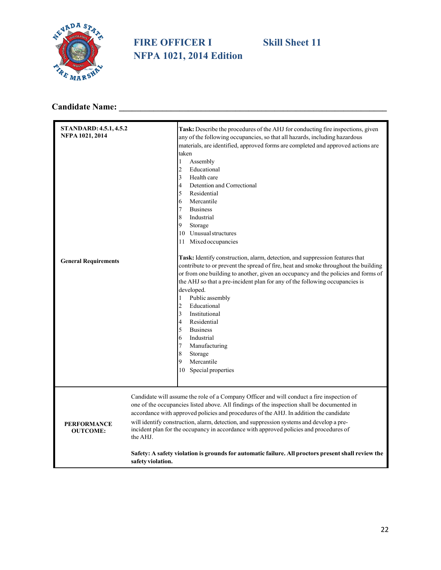

## **FIRE OFFICER I Skill Sheet 11 NFPA 1021, 2014 Edition**

## **Candidate Name: \_\_\_\_\_\_\_\_\_\_\_\_\_\_\_\_\_\_\_\_\_\_\_\_\_\_\_\_\_\_\_\_\_\_\_\_\_\_\_\_\_\_\_\_\_\_\_\_\_\_\_\_\_\_\_\_\_\_\_\_\_\_**

| STANDARD: 4.5.1, 4.5.2<br>NFPA 1021, 2014 | Task: Describe the procedures of the AHJ for conducting fire inspections, given<br>any of the following occupancies, so that all hazards, including hazardous<br>materials, are identified, approved forms are completed and approved actions are<br>taken<br>$\mathbf{1}$<br>Assembly<br>$\mathfrak{2}$<br>Educational<br>$\overline{\mathbf{3}}$<br>Health care<br>$\overline{4}$<br>Detention and Correctional<br>5<br>Residential<br>6<br>Mercantile<br>7<br><b>Business</b><br>8<br>Industrial<br>9<br>Storage<br>10 Unusual structures<br>11 Mixed occupancies                                           |
|-------------------------------------------|----------------------------------------------------------------------------------------------------------------------------------------------------------------------------------------------------------------------------------------------------------------------------------------------------------------------------------------------------------------------------------------------------------------------------------------------------------------------------------------------------------------------------------------------------------------------------------------------------------------|
| <b>General Requirements</b>               | Task: Identify construction, alarm, detection, and suppression features that<br>contribute to or prevent the spread of fire, heat and smoke throughout the building<br>or from one building to another, given an occupancy and the policies and forms of<br>the AHJ so that a pre-incident plan for any of the following occupancies is<br>developed.<br>$\mathbf{1}$<br>Public assembly<br>$\overline{2}$<br>Educational<br>3<br>Institutional<br>Residential<br>4<br>5<br><b>Business</b><br>Industrial<br>6<br>$\tau$<br>Manufacturing<br>8<br>Storage<br>9<br>Mercantile<br>10<br>Special properties       |
| <b>PERFORMANCE</b><br><b>OUTCOME:</b>     | Candidate will assume the role of a Company Officer and will conduct a fire inspection of<br>one of the occupancies listed above. All findings of the inspection shall be documented in<br>accordance with approved policies and procedures of the AHJ. In addition the candidate<br>will identify construction, alarm, detection, and suppression systems and develop a pre-<br>incident plan for the occupancy in accordance with approved policies and procedures of<br>the AHJ.<br>Safety: A safety violation is grounds for automatic failure. All proctors present shall review the<br>safety violation. |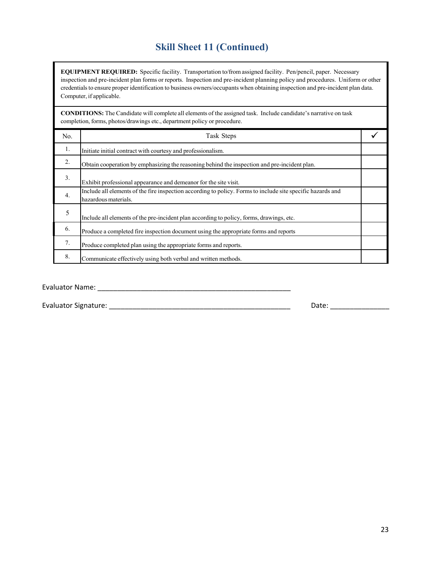## **Skill Sheet 11 (Continued)**

**EQUIPMENT REQUIRED:** Specific facility. Transportation to/from assigned facility. Pen/pencil, paper. Necessary inspection and pre-incident plan forms or reports. Inspection and pre-incident planning policy and procedures. Uniform or other credentials to ensure proper identification to business owners/occupants when obtaining inspection and pre-incident plan data. Computer, if applicable.

**CONDITIONS:** The Candidate will complete all elements of the assigned task. Include candidate's narrative on task completion, forms, photos/drawings etc., department policy or procedure.

| No. | Task Steps                                                                                                                          |  |
|-----|-------------------------------------------------------------------------------------------------------------------------------------|--|
| 1.  | Initiate initial contract with courtesy and professionalism.                                                                        |  |
| 2.  | Obtain cooperation by emphasizing the reasoning behind the inspection and pre-incident plan.                                        |  |
| 3.  | Exhibit professional appearance and demeanor for the site visit.                                                                    |  |
| 4.  | Include all elements of the fire inspection according to policy. Forms to include site specific hazards and<br>hazardous materials. |  |
| 5   | Include all elements of the pre-incident plan according to policy, forms, drawings, etc.                                            |  |
| 6.  | Produce a completed fire inspection document using the appropriate forms and reports                                                |  |
| 7.  | Produce completed plan using the appropriate forms and reports.                                                                     |  |
| 8.  | Communicate effectively using both verbal and written methods.                                                                      |  |

Evaluator Name: \_\_\_\_\_\_\_\_\_\_\_\_\_\_\_\_\_\_\_\_\_\_\_\_\_\_\_\_\_\_\_\_\_\_\_\_\_\_\_\_\_\_\_\_\_\_\_\_\_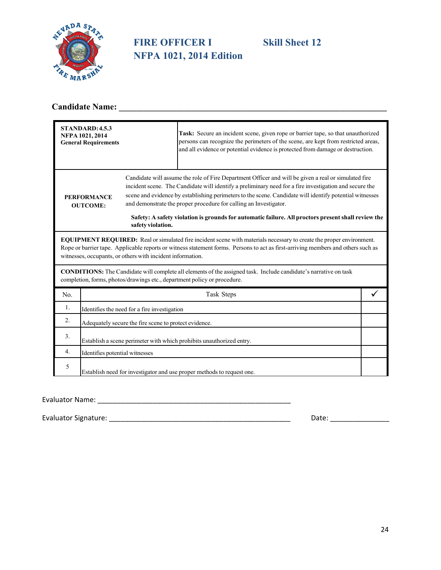

## **FIRE OFFICER I Skill Sheet 12 NFPA 1021, 2014 Edition**

## **Candidate Name: \_\_\_\_\_\_\_\_\_\_\_\_\_\_\_\_\_\_\_\_\_\_\_\_\_\_\_\_\_\_\_\_\_\_\_\_\_\_\_\_\_\_\_\_\_\_\_\_\_\_\_\_\_\_\_\_\_\_\_\_\_\_**

|                                                                                                                                                                                                     | STANDARD: 4.5.3<br>NFPA 1021, 2014<br><b>General Requirements</b>                                                                                                                                                                                                                                                             |            | Task: Secure an incident scene, given rope or barrier tape, so that unauthorized<br>persons can recognize the perimeters of the scene, are kept from restricted areas,<br>and all evidence or potential evidence is protected from damage or destruction.                                                                                                                                                                                                                                            |  |  |
|-----------------------------------------------------------------------------------------------------------------------------------------------------------------------------------------------------|-------------------------------------------------------------------------------------------------------------------------------------------------------------------------------------------------------------------------------------------------------------------------------------------------------------------------------|------------|------------------------------------------------------------------------------------------------------------------------------------------------------------------------------------------------------------------------------------------------------------------------------------------------------------------------------------------------------------------------------------------------------------------------------------------------------------------------------------------------------|--|--|
| <b>PERFORMANCE</b><br><b>OUTCOME:</b><br>safety violation.                                                                                                                                          |                                                                                                                                                                                                                                                                                                                               |            | Candidate will assume the role of Fire Department Officer and will be given a real or simulated fire<br>incident scene. The Candidate will identify a preliminary need for a fire investigation and secure the<br>scene and evidence by establishing perimeters to the scene. Candidate will identify potential witnesses<br>and demonstrate the proper procedure for calling an Investigator.<br>Safety: A safety violation is grounds for automatic failure. All proctors present shall review the |  |  |
|                                                                                                                                                                                                     | <b>EQUIPMENT REQUIRED:</b> Real or simulated fire incident scene with materials necessary to create the proper environment.<br>Rope or barrier tape. Applicable reports or witness statement forms. Persons to act as first-arriving members and others such as<br>witnesses, occupants, or others with incident information. |            |                                                                                                                                                                                                                                                                                                                                                                                                                                                                                                      |  |  |
| <b>CONDITIONS:</b> The Candidate will complete all elements of the assigned task. Include candidate's narrative on task<br>completion, forms, photos/drawings etc., department policy or procedure. |                                                                                                                                                                                                                                                                                                                               |            |                                                                                                                                                                                                                                                                                                                                                                                                                                                                                                      |  |  |
| No.                                                                                                                                                                                                 |                                                                                                                                                                                                                                                                                                                               | Task Steps |                                                                                                                                                                                                                                                                                                                                                                                                                                                                                                      |  |  |
| 1.                                                                                                                                                                                                  | Identifies the need for a fire investigation                                                                                                                                                                                                                                                                                  |            |                                                                                                                                                                                                                                                                                                                                                                                                                                                                                                      |  |  |
| 2.                                                                                                                                                                                                  | Adequately secure the fire scene to protect evidence.                                                                                                                                                                                                                                                                         |            |                                                                                                                                                                                                                                                                                                                                                                                                                                                                                                      |  |  |
| 3.                                                                                                                                                                                                  | Establish a scene perimeter with which prohibits unauthorized entry.                                                                                                                                                                                                                                                          |            |                                                                                                                                                                                                                                                                                                                                                                                                                                                                                                      |  |  |
| 4.                                                                                                                                                                                                  | Identifies potential witnesses                                                                                                                                                                                                                                                                                                |            |                                                                                                                                                                                                                                                                                                                                                                                                                                                                                                      |  |  |
| 5                                                                                                                                                                                                   | Establish need for investigator and use proper methods to request one.                                                                                                                                                                                                                                                        |            |                                                                                                                                                                                                                                                                                                                                                                                                                                                                                                      |  |  |

#### Evaluator Name: \_\_\_\_\_\_\_\_\_\_\_\_\_\_\_\_\_\_\_\_\_\_\_\_\_\_\_\_\_\_\_\_\_\_\_\_\_\_\_\_\_\_\_\_\_\_\_\_\_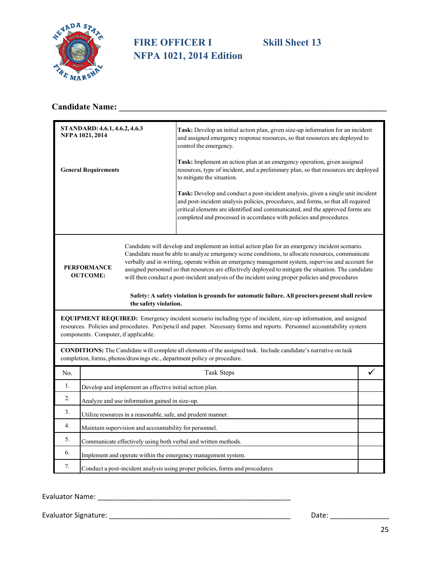

## **FIRE OFFICER I** Skill Sheet 13 **NFPA 1021, 2014 Edition**

## **Candidate Name: \_\_\_\_\_\_\_\_\_\_\_\_\_\_\_\_\_\_\_\_\_\_\_\_\_\_\_\_\_\_\_\_\_\_\_\_\_\_\_\_\_\_\_\_\_\_\_\_\_\_\_\_\_\_\_\_\_\_\_\_\_\_**

|     | STANDARD: 4.6.1, 4.6.2, 4.6.3<br>NFPA 1021, 2014                                                                                                                                                                                                                                                                                                                                                                                                                                                                                                               | Task: Develop an initial action plan, given size-up information for an incident<br>and assigned emergency response resources, so that resources are deployed to<br>control the emergency.                                                                                                                                    |  |  |  |
|-----|----------------------------------------------------------------------------------------------------------------------------------------------------------------------------------------------------------------------------------------------------------------------------------------------------------------------------------------------------------------------------------------------------------------------------------------------------------------------------------------------------------------------------------------------------------------|------------------------------------------------------------------------------------------------------------------------------------------------------------------------------------------------------------------------------------------------------------------------------------------------------------------------------|--|--|--|
|     | <b>General Requirements</b>                                                                                                                                                                                                                                                                                                                                                                                                                                                                                                                                    | Task: Implement an action plan at an emergency operation, given assigned<br>resources, type of incident, and a preliminary plan, so that resources are deployed<br>to mitigate the situation.                                                                                                                                |  |  |  |
|     |                                                                                                                                                                                                                                                                                                                                                                                                                                                                                                                                                                | Task: Develop and conduct a post-incident analysis, given a single unit incident<br>and post-incident analysis policies, procedures, and forms, so that all required<br>critical elements are identified and communicated, and the approved forms are<br>completed and processed in accordance with policies and procedures. |  |  |  |
|     | Candidate will develop and implement an initial action plan for an emergency incident scenario.<br>Candidate must be able to analyze emergency scene conditions, to allocate resources, communicate<br>verbally and in writing, operate within an emergency management system, supervise and account for<br><b>PERFORMANCE</b><br>assigned personnel so that resources are effectively deployed to mitigate the situation. The candidate<br><b>OUTCOME:</b><br>will then conduct a post-incident analysis of the incident using proper policies and procedures |                                                                                                                                                                                                                                                                                                                              |  |  |  |
|     | the safety violation.                                                                                                                                                                                                                                                                                                                                                                                                                                                                                                                                          | Safety: A safety violation is grounds for automatic failure. All proctors present shall review                                                                                                                                                                                                                               |  |  |  |
|     | EQUIPMENT REQUIRED: Emergency incident scenario including type of incident, size-up information, and assigned<br>resources. Policies and procedures. Pen/pencil and paper. Necessary forms and reports. Personnel accountability system<br>components. Computer, if applicable.                                                                                                                                                                                                                                                                                |                                                                                                                                                                                                                                                                                                                              |  |  |  |
|     | <b>CONDITIONS:</b> The Candidate will complete all elements of the assigned task. Include candidate's narrative on task<br>completion, forms, photos/drawings etc., department policy or procedure.                                                                                                                                                                                                                                                                                                                                                            |                                                                                                                                                                                                                                                                                                                              |  |  |  |
| No. |                                                                                                                                                                                                                                                                                                                                                                                                                                                                                                                                                                | Task Steps                                                                                                                                                                                                                                                                                                                   |  |  |  |
| 1.  | Develop and implement an effective initial action plan.                                                                                                                                                                                                                                                                                                                                                                                                                                                                                                        |                                                                                                                                                                                                                                                                                                                              |  |  |  |
| 2.  | Analyze and use information gained in size-up.                                                                                                                                                                                                                                                                                                                                                                                                                                                                                                                 |                                                                                                                                                                                                                                                                                                                              |  |  |  |
| 3.  | Utilize resources in a reasonable, safe, and prudent manner.                                                                                                                                                                                                                                                                                                                                                                                                                                                                                                   |                                                                                                                                                                                                                                                                                                                              |  |  |  |
| 4.  | Maintain supervision and accountability for personnel.                                                                                                                                                                                                                                                                                                                                                                                                                                                                                                         |                                                                                                                                                                                                                                                                                                                              |  |  |  |
| 5.  | Communicate effectively using both verbal and written methods.                                                                                                                                                                                                                                                                                                                                                                                                                                                                                                 |                                                                                                                                                                                                                                                                                                                              |  |  |  |
| 6.  | Implement and operate within the emergency management system.                                                                                                                                                                                                                                                                                                                                                                                                                                                                                                  |                                                                                                                                                                                                                                                                                                                              |  |  |  |
| 7.  | Conduct a post-incident analysis using proper policies, forms and procedures                                                                                                                                                                                                                                                                                                                                                                                                                                                                                   |                                                                                                                                                                                                                                                                                                                              |  |  |  |

Evaluator Name: \_\_\_\_\_\_\_\_\_\_\_\_\_\_\_\_\_\_\_\_\_\_\_\_\_\_\_\_\_\_\_\_\_\_\_\_\_\_\_\_\_\_\_\_\_\_\_\_\_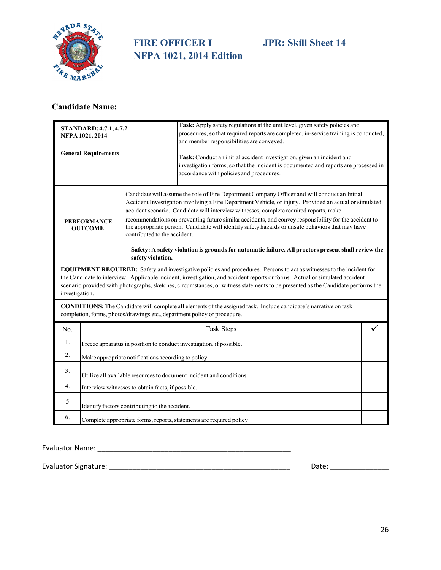

## **FIRE OFFICER I JPR: Skill Sheet 14 NFPA 1021, 2014 Edition**

## **Candidate Name: \_\_\_\_\_\_\_\_\_\_\_\_\_\_\_\_\_\_\_\_\_\_\_\_\_\_\_\_\_\_\_\_\_\_\_\_\_\_\_\_\_\_\_\_\_\_\_\_\_\_\_\_\_\_\_\_\_\_\_\_\_\_**

| <b>STANDARD: 4.7.1, 4.7.2</b><br>NFPA 1021, 2014                                                                                                                                                                                                                                                                                                                                                           |                                                                      |  | Task: Apply safety regulations at the unit level, given safety policies and<br>procedures, so that required reports are completed, in-service training is conducted,<br>and member responsibilities are conveyed.                                                                                                                                                                                                                                                                                                                                                                                                    |  |  |
|------------------------------------------------------------------------------------------------------------------------------------------------------------------------------------------------------------------------------------------------------------------------------------------------------------------------------------------------------------------------------------------------------------|----------------------------------------------------------------------|--|----------------------------------------------------------------------------------------------------------------------------------------------------------------------------------------------------------------------------------------------------------------------------------------------------------------------------------------------------------------------------------------------------------------------------------------------------------------------------------------------------------------------------------------------------------------------------------------------------------------------|--|--|
| <b>General Requirements</b>                                                                                                                                                                                                                                                                                                                                                                                |                                                                      |  | Task: Conduct an initial accident investigation, given an incident and<br>investigation forms, so that the incident is documented and reports are processed in<br>accordance with policies and procedures.                                                                                                                                                                                                                                                                                                                                                                                                           |  |  |
| <b>PERFORMANCE</b><br><b>OUTCOME:</b><br>contributed to the accident.<br>safety violation.                                                                                                                                                                                                                                                                                                                 |                                                                      |  | Candidate will assume the role of Fire Department Company Officer and will conduct an Initial<br>Accident Investigation involving a Fire Department Vehicle, or injury. Provided an actual or simulated<br>accident scenario. Candidate will interview witnesses, complete required reports, make<br>recommendations on preventing future similar accidents, and convey responsibility for the accident to<br>the appropriate person. Candidate will identify safety hazards or unsafe behaviors that may have<br>Safety: A safety violation is grounds for automatic failure. All proctors present shall review the |  |  |
| EQUIPMENT REQUIRED: Safety and investigative policies and procedures. Persons to act as witnesses to the incident for<br>the Candidate to interview. Applicable incident, investigation, and accident reports or forms. Actual or simulated accident<br>scenario provided with photographs, sketches, circumstances, or witness statements to be presented as the Candidate performs the<br>investigation. |                                                                      |  |                                                                                                                                                                                                                                                                                                                                                                                                                                                                                                                                                                                                                      |  |  |
| CONDITIONS: The Candidate will complete all elements of the assigned task. Include candidate's narrative on task<br>completion, forms, photos/drawings etc., department policy or procedure.                                                                                                                                                                                                               |                                                                      |  |                                                                                                                                                                                                                                                                                                                                                                                                                                                                                                                                                                                                                      |  |  |
| No.                                                                                                                                                                                                                                                                                                                                                                                                        | Task Steps                                                           |  |                                                                                                                                                                                                                                                                                                                                                                                                                                                                                                                                                                                                                      |  |  |
| 1.                                                                                                                                                                                                                                                                                                                                                                                                         | Freeze apparatus in position to conduct investigation, if possible.  |  |                                                                                                                                                                                                                                                                                                                                                                                                                                                                                                                                                                                                                      |  |  |
| 2.                                                                                                                                                                                                                                                                                                                                                                                                         | Make appropriate notifications according to policy.                  |  |                                                                                                                                                                                                                                                                                                                                                                                                                                                                                                                                                                                                                      |  |  |
| 3.                                                                                                                                                                                                                                                                                                                                                                                                         | Utilize all available resources to document incident and conditions. |  |                                                                                                                                                                                                                                                                                                                                                                                                                                                                                                                                                                                                                      |  |  |
| 4.                                                                                                                                                                                                                                                                                                                                                                                                         | Interview witnesses to obtain facts, if possible.                    |  |                                                                                                                                                                                                                                                                                                                                                                                                                                                                                                                                                                                                                      |  |  |
| 5                                                                                                                                                                                                                                                                                                                                                                                                          | Identify factors contributing to the accident.                       |  |                                                                                                                                                                                                                                                                                                                                                                                                                                                                                                                                                                                                                      |  |  |
| 6.                                                                                                                                                                                                                                                                                                                                                                                                         | Complete appropriate forms, reports, statements are required policy  |  |                                                                                                                                                                                                                                                                                                                                                                                                                                                                                                                                                                                                                      |  |  |

Evaluator Name: \_\_\_\_\_\_\_\_\_\_\_\_\_\_\_\_\_\_\_\_\_\_\_\_\_\_\_\_\_\_\_\_\_\_\_\_\_\_\_\_\_\_\_\_\_\_\_\_\_